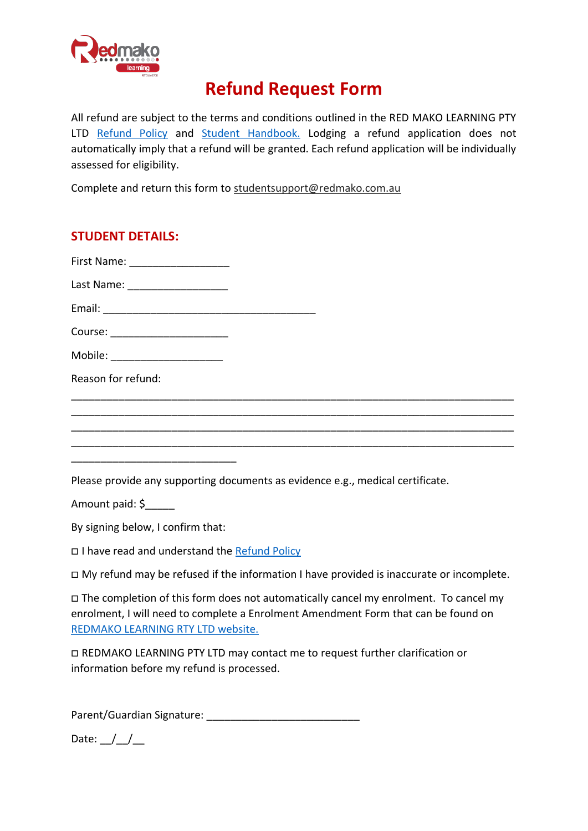

## **Refund Request Form**

All refund are subject to the terms and conditions outlined in the RED MAKO LEARNING PTY LTD [Refund Policy](https://redmako.com.au/policies-fees-and-forms/refund-policy-2/) and [Student Handbook.](file:///C:/Users/Liz.2/Downloads/Redmako-Student-Handbook-2%20(1).pdf) Lodging a refund application does not automatically imply that a refund will be granted. Each refund application will be individually assessed for eligibility.

Complete and return this form to [studentsupport@redmako.com.au](mailto:studentsupport@redmako.com.au)

| <b>STUDENT DETAILS:</b>                                                                                                                                                                                                |
|------------------------------------------------------------------------------------------------------------------------------------------------------------------------------------------------------------------------|
|                                                                                                                                                                                                                        |
| Last Name: ______________________                                                                                                                                                                                      |
|                                                                                                                                                                                                                        |
| Course: ______________________                                                                                                                                                                                         |
| Mobile: _______________________                                                                                                                                                                                        |
| Reason for refund:                                                                                                                                                                                                     |
|                                                                                                                                                                                                                        |
|                                                                                                                                                                                                                        |
|                                                                                                                                                                                                                        |
| Please provide any supporting documents as evidence e.g., medical certificate.                                                                                                                                         |
| Amount paid: \$                                                                                                                                                                                                        |
| By signing below, I confirm that:                                                                                                                                                                                      |
| □ I have read and understand the Refund Policy                                                                                                                                                                         |
| □ My refund may be refused if the information I have provided is inaccurate or incomplete.                                                                                                                             |
| $\Box$ The completion of this form does not automatically cancel my enrolment. To cancel my<br>enrolment, I will need to complete a Enrolment Amendment Form that can be found on<br>REDMAKO LEARNING RTY LTD website. |
| □ REDMAKO LEARNING PTY LTD may contact me to request further clarification or<br>information before my refund is processed.                                                                                            |

Parent/Guardian Signature: \_\_\_\_\_\_\_\_\_\_\_\_\_\_\_\_\_\_\_\_\_\_\_\_\_\_

Date:  $/$  /